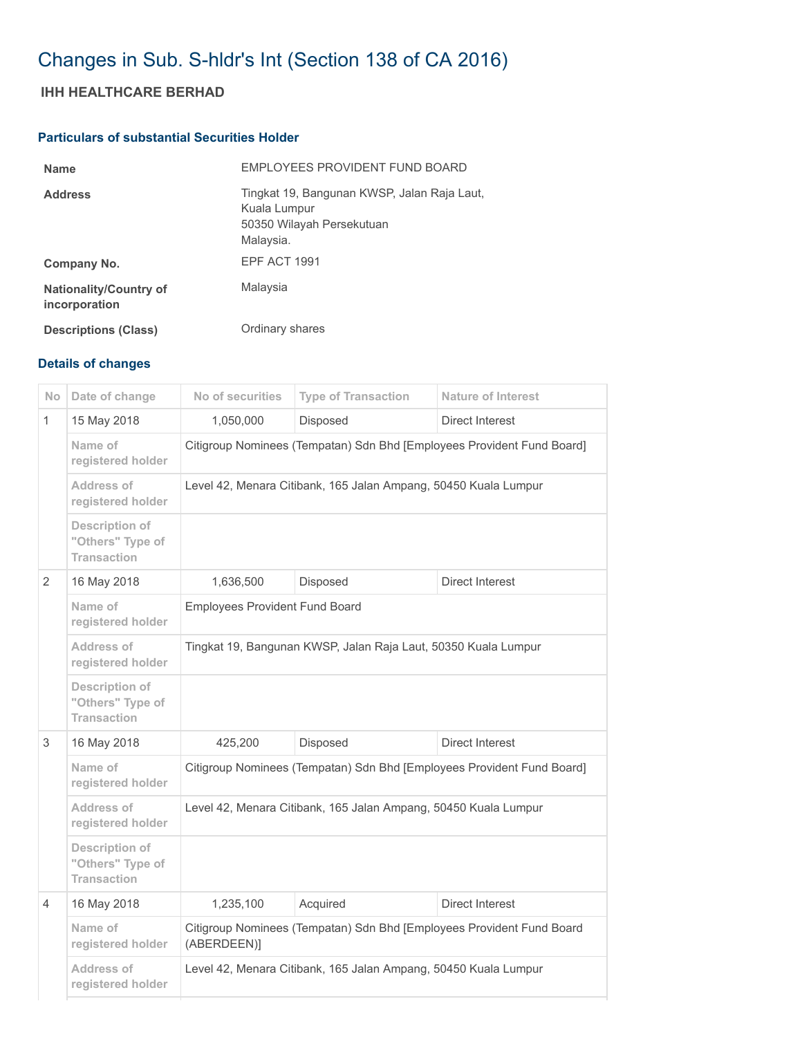## Changes in Sub. S-hldr's Int (Section 138 of CA 2016)

## IHH HEALTHCARE BERHAD

## Particulars of substantial Securities Holder

| <b>Name</b>                                    | EMPLOYEES PROVIDENT FUND BOARD                                                                        |
|------------------------------------------------|-------------------------------------------------------------------------------------------------------|
| <b>Address</b>                                 | Tingkat 19, Bangunan KWSP, Jalan Raja Laut,<br>Kuala Lumpur<br>50350 Wilayah Persekutuan<br>Malaysia. |
| Company No.                                    | EPF ACT 1991                                                                                          |
| <b>Nationality/Country of</b><br>incorporation | Malaysia                                                                                              |
| <b>Descriptions (Class)</b>                    | Ordinary shares                                                                                       |

## Details of changes

| <b>No</b> | Date of change                                           | No of securities                                                                     | <b>Type of Transaction</b> | <b>Nature of Interest</b> |  |
|-----------|----------------------------------------------------------|--------------------------------------------------------------------------------------|----------------------------|---------------------------|--|
| 1         | 15 May 2018                                              | 1,050,000                                                                            | Disposed                   | <b>Direct Interest</b>    |  |
|           | Name of<br>registered holder                             | Citigroup Nominees (Tempatan) Sdn Bhd [Employees Provident Fund Board]               |                            |                           |  |
|           | Address of<br>registered holder                          | Level 42, Menara Citibank, 165 Jalan Ampang, 50450 Kuala Lumpur                      |                            |                           |  |
|           | Description of<br>"Others" Type of<br><b>Transaction</b> |                                                                                      |                            |                           |  |
| 2         | 16 May 2018                                              | 1,636,500                                                                            | Disposed                   | <b>Direct Interest</b>    |  |
|           | Name of<br>registered holder                             | <b>Employees Provident Fund Board</b>                                                |                            |                           |  |
|           | Address of<br>registered holder                          | Tingkat 19, Bangunan KWSP, Jalan Raja Laut, 50350 Kuala Lumpur                       |                            |                           |  |
|           | Description of<br>"Others" Type of<br><b>Transaction</b> |                                                                                      |                            |                           |  |
| 3         | 16 May 2018                                              | 425,200                                                                              | Disposed                   | Direct Interest           |  |
|           | Name of<br>registered holder                             | Citigroup Nominees (Tempatan) Sdn Bhd [Employees Provident Fund Board]               |                            |                           |  |
|           | Address of<br>registered holder                          | Level 42, Menara Citibank, 165 Jalan Ampang, 50450 Kuala Lumpur                      |                            |                           |  |
|           | Description of<br>"Others" Type of<br><b>Transaction</b> |                                                                                      |                            |                           |  |
| 4         | 16 May 2018                                              | 1,235,100                                                                            | Acquired                   | Direct Interest           |  |
|           | Name of<br>registered holder                             | Citigroup Nominees (Tempatan) Sdn Bhd [Employees Provident Fund Board<br>(ABERDEEN)] |                            |                           |  |
|           | Address of<br>registered holder                          | Level 42, Menara Citibank, 165 Jalan Ampang, 50450 Kuala Lumpur                      |                            |                           |  |